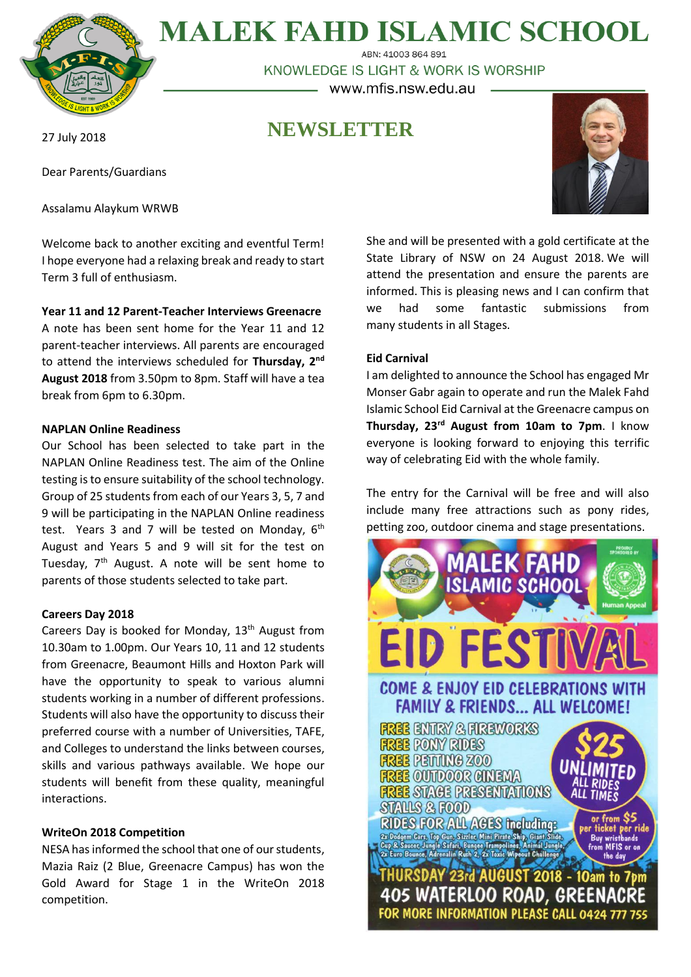

**MALEK FAHD ISLAMIC SCHOOL** ABN: 41003 864 891

KNOWLEDGE IS LIGHT & WORK IS WORSHIP - www.mfis.nsw.edu.au -

# **NEWSLETTER**

27 July 2018

Dear Parents/Guardians

Assalamu Alaykum WRWB

Welcome back to another exciting and eventful Term! I hope everyone had a relaxing break and ready to start Term 3 full of enthusiasm.

## **Year 11 and 12 Parent-Teacher Interviews Greenacre**

A note has been sent home for the Year 11 and 12 parent-teacher interviews. All parents are encouraged to attend the interviews scheduled for **Thursday, 2nd August 2018** from 3.50pm to 8pm. Staff will have a tea break from 6pm to 6.30pm.

## **NAPLAN Online Readiness**

Our School has been selected to take part in the NAPLAN Online Readiness test. The aim of the Online testing is to ensure suitability of the school technology. Group of 25 students from each of our Years 3, 5, 7 and 9 will be participating in the NAPLAN Online readiness test. Years 3 and 7 will be tested on Monday,  $6<sup>th</sup>$ August and Years 5 and 9 will sit for the test on Tuesday,  $7<sup>th</sup>$  August. A note will be sent home to parents of those students selected to take part.

### **Careers Day 2018**

Careers Day is booked for Monday,  $13<sup>th</sup>$  August from 10.30am to 1.00pm. Our Years 10, 11 and 12 students from Greenacre, Beaumont Hills and Hoxton Park will have the opportunity to speak to various alumni students working in a number of different professions. Students will also have the opportunity to discuss their preferred course with a number of Universities, TAFE, and Colleges to understand the links between courses, skills and various pathways available. We hope our students will benefit from these quality, meaningful interactions.

# **WriteOn 2018 Competition**

NESA has informed the school that one of our students, Mazia Raiz (2 Blue, Greenacre Campus) has won the Gold Award for Stage 1 in the WriteOn 2018 competition.

She and will be presented with a gold certificate at the State Library of NSW on 24 August 2018. We will attend the presentation and ensure the parents are informed. This is pleasing news and I can confirm that we had some fantastic submissions from many students in all Stages.

# **Eid Carnival**

I am delighted to announce the School has engaged Mr Monser Gabr again to operate and run the Malek Fahd Islamic School Eid Carnival at the Greenacre campus on **Thursday, 23rd August from 10am to 7pm**. I know everyone is looking forward to enjoying this terrific way of celebrating Eid with the whole family.

The entry for the Carnival will be free and will also include many free attractions such as pony rides, petting zoo, outdoor cinema and stage presentations.